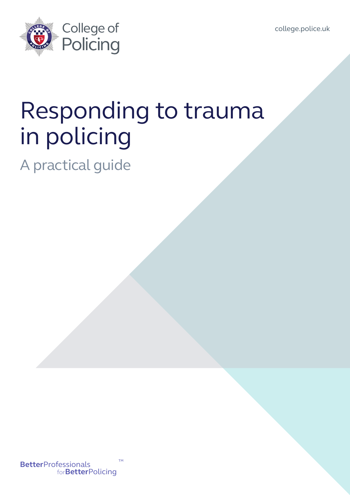[college.police.uk](http://www.college.police.uk)



# Responding to trauma in policing

A practical guide

**Better**Professionals for**Better**Policing ™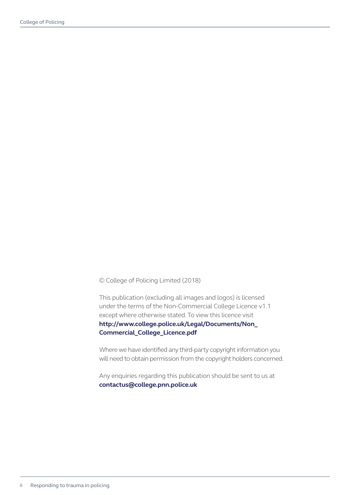© College of Policing Limited (2018)

This publication (excluding all images and logos) is licensed under the terms of the Non-Commercial College Licence v1.1 except where otherwise stated. To view this licence visit **[http://www.college.police.uk/Legal/Documents/Non\\_](http://www.college.police.uk/Legal/Documents/Non_Commercial_College_Licence.pdf) [Commercial\\_College\\_Licence.pdf](http://www.college.police.uk/Legal/Documents/Non_Commercial_College_Licence.pdf)**

Where we have identified any third-party copyright information you will need to obtain permission from the copyright holders concerned.

Any enquiries regarding this publication should be sent to us at **[contactus@college.pnn.police.uk](mailto:contactus%40college.pnn.police.uk?subject=Professional%20Placements%20Toolkit)**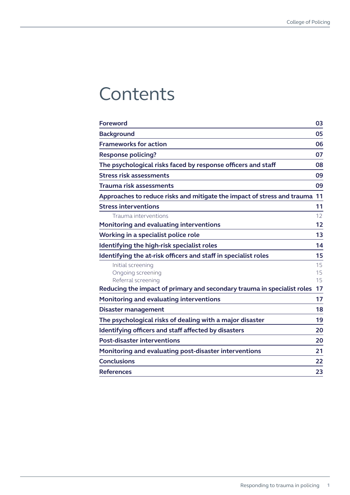## **Contents**

| <b>Foreword</b>                                                         | 03 |
|-------------------------------------------------------------------------|----|
| <b>Background</b>                                                       | 05 |
| <b>Frameworks for action</b>                                            | 06 |
| <b>Response policing?</b>                                               | 07 |
| The psychological risks faced by response officers and staff            | 08 |
| <b>Stress risk assessments</b>                                          | 09 |
| <b>Trauma risk assessments</b>                                          | 09 |
| Approaches to reduce risks and mitigate the impact of stress and trauma | 11 |
| <b>Stress interventions</b>                                             | 11 |
| Trauma interventions                                                    | 12 |
| <b>Monitoring and evaluating interventions</b>                          | 12 |
| Working in a specialist police role                                     | 13 |
| Identifying the high-risk specialist roles                              | 14 |
| Identifying the at-risk officers and staff in specialist roles          | 15 |
| Initial screening                                                       | 15 |
| Ongoing screening                                                       | 15 |
| Referral screening                                                      | 15 |
| Reducing the impact of primary and secondary trauma in specialist roles | 17 |
| <b>Monitoring and evaluating interventions</b>                          | 17 |
| <b>Disaster management</b>                                              | 18 |
| The psychological risks of dealing with a major disaster                | 19 |
| Identifying officers and staff affected by disasters                    | 20 |
| <b>Post-disaster interventions</b>                                      | 20 |
| Monitoring and evaluating post-disaster interventions                   | 21 |
| <b>Conclusions</b>                                                      | 22 |
| <b>References</b>                                                       | 23 |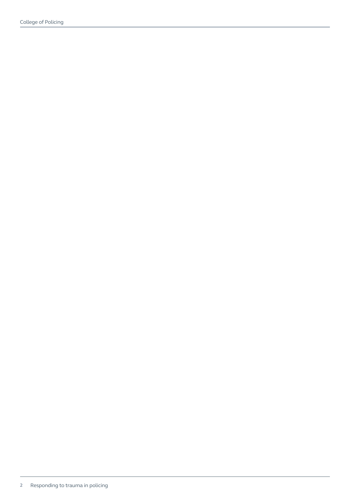College of Policing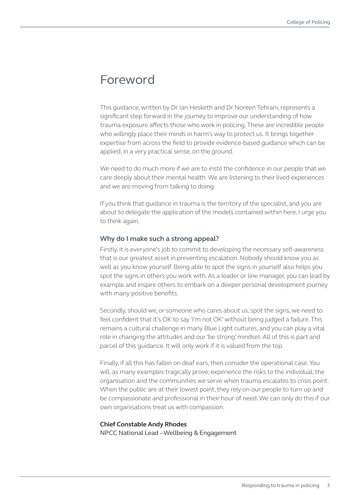#### <span id="page-4-0"></span>Foreword

This guidance, written by Dr Ian Hesketh and Dr Noreen Tehrani, represents a significant step forward in the journey to improve our understanding of how trauma exposure affects those who work in policing. These are incredible people who willingly place their minds in harm's way to protect us. It brings together expertise from across the field to provide evidence-based guidance which can be applied, in a very practical sense, on the ground.

We need to do much more if we are to instil the confidence in our people that we care deeply about their mental health. We are listening to their lived experiences and we are moving from talking to doing.

If you think that guidance in trauma is the territory of the specialist, and you are about to delegate the application of the models contained within here, I urge you to think again.

#### **Why do I make such a strong appeal?**

Firstly, it is everyone's job to commit to developing the necessary self-awareness that is our greatest asset in preventing escalation. Nobody should know you as well as you know yourself. Being able to spot the signs in yourself also helps you spot the signs in others you work with. As a leader or line manager, you can lead by example and inspire others to embark on a deeper personal development journey with many positive benefits.

Secondly, should we, or someone who cares about us, spot the signs, we need to feel confident that it's OK to say 'I'm not OK' without being judged a failure. This remains a cultural challenge in many Blue Light cultures, and you can play a vital role in changing the attitudes and our 'be strong' mindset. All of this is part and parcel of this guidance. It will only work if it is valued from the top.

Finally, if all this has fallen on deaf ears, then consider the operational case. You will, as many examples tragically prove, experience the risks to the individual, the organisation and the communities we serve when trauma escalates to crisis point. When the public are at their lowest point, they rely on our people to turn up and be compassionate and professional in their hour of need. We can only do this if our own organisations treat us with compassion.

#### **Chief Constable Andy Rhodes**

NPCC National Lead – Wellbeing & Engagement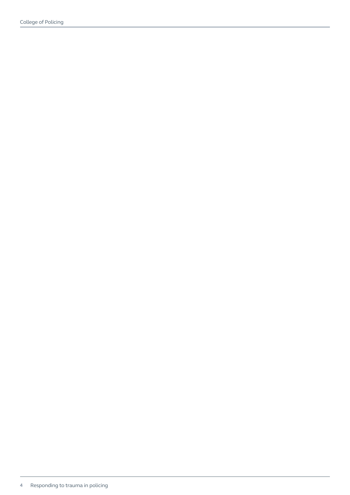College of Policing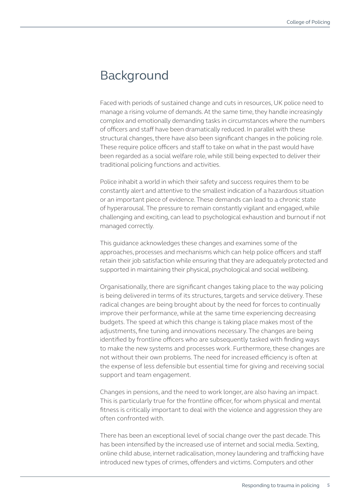### <span id="page-6-0"></span>Background

Faced with periods of sustained change and cuts in resources, UK police need to manage a rising volume of demands. At the same time, they handle increasingly complex and emotionally demanding tasks in circumstances where the numbers of officers and staff have been dramatically reduced. In parallel with these structural changes, there have also been significant changes in the policing role. These require police officers and staff to take on what in the past would have been regarded as a social welfare role, while still being expected to deliver their traditional policing functions and activities.

Police inhabit a world in which their safety and success requires them to be constantly alert and attentive to the smallest indication of a hazardous situation or an important piece of evidence. These demands can lead to a chronic state of hyperarousal. The pressure to remain constantly vigilant and engaged, while challenging and exciting, can lead to psychological exhaustion and burnout if not managed correctly.

This guidance acknowledges these changes and examines some of the approaches, processes and mechanisms which can help police officers and staff retain their job satisfaction while ensuring that they are adequately protected and supported in maintaining their physical, psychological and social wellbeing.

Organisationally, there are significant changes taking place to the way policing is being delivered in terms of its structures, targets and service delivery. These radical changes are being brought about by the need for forces to continually improve their performance, while at the same time experiencing decreasing budgets. The speed at which this change is taking place makes most of the adjustments, fine tuning and innovations necessary. The changes are being identified by frontline officers who are subsequently tasked with finding ways to make the new systems and processes work. Furthermore, these changes are not without their own problems. The need for increased efficiency is often at the expense of less defensible but essential time for giving and receiving social support and team engagement.

Changes in pensions, and the need to work longer, are also having an impact. This is particularly true for the frontline officer, for whom physical and mental fitness is critically important to deal with the violence and aggression they are often confronted with.

There has been an exceptional level of social change over the past decade. This has been intensified by the increased use of internet and social media. Sexting, online child abuse, internet radicalisation, money laundering and trafficking have introduced new types of crimes, offenders and victims. Computers and other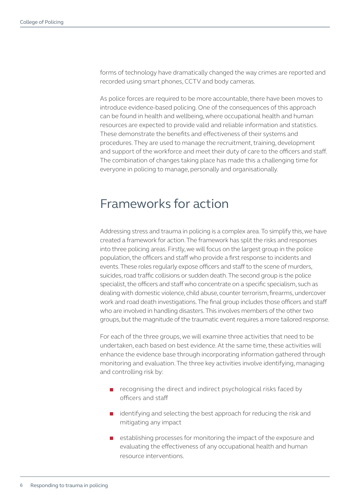forms of technology have dramatically changed the way crimes are reported and recorded using smart phones, CCTV and body cameras.

As police forces are required to be more accountable, there have been moves to introduce evidence-based policing. One of the consequences of this approach can be found in health and wellbeing, where occupational health and human resources are expected to provide valid and reliable information and statistics. These demonstrate the benefits and effectiveness of their systems and procedures. They are used to manage the recruitment, training, development and support of the workforce and meet their duty of care to the officers and staff. The combination of changes taking place has made this a challenging time for everyone in policing to manage, personally and organisationally.

#### <span id="page-7-0"></span>Frameworks for action

Addressing stress and trauma in policing is a complex area. To simplify this, we have created a framework for action. The framework has split the risks and responses into three policing areas. Firstly, we will focus on the largest group in the police population, the officers and staff who provide a first response to incidents and events. These roles regularly expose officers and staff to the scene of murders, suicides, road traffic collisions or sudden death. The second group is the police specialist, the officers and staff who concentrate on a specific specialism, such as dealing with domestic violence, child abuse, counter terrorism, firearms, undercover work and road death investigations. The final group includes those officers and staff who are involved in handling disasters. This involves members of the other two groups, but the magnitude of the traumatic event requires a more tailored response.

For each of the three groups, we will examine three activities that need to be undertaken, each based on best evidence. At the same time, these activities will enhance the evidence base through incorporating information gathered through monitoring and evaluation. The three key activities involve identifying, managing and controlling risk by:

- $\blacksquare$  recognising the direct and indirect psychological risks faced by officers and staff
- $\blacksquare$  identifying and selecting the best approach for reducing the risk and mitigating any impact
- $\blacksquare$  establishing processes for monitoring the impact of the exposure and evaluating the effectiveness of any occupational health and human resource interventions.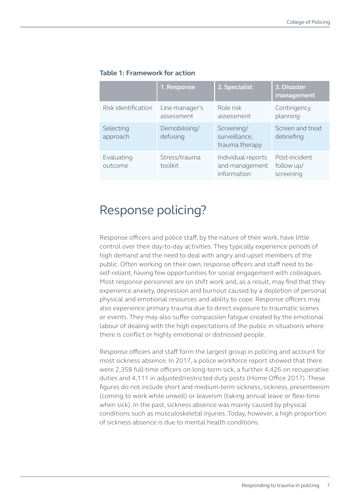|                       | 1. Response                  | 2. Specialist                                       | 3. Disaster<br>management                |
|-----------------------|------------------------------|-----------------------------------------------------|------------------------------------------|
| Risk identification   | Line manager's<br>assessment | Role risk<br>assessment                             | Contingency<br>planning                  |
| Selecting<br>approach | Demobilising/<br>defusing    | Screening/<br>surveillance,<br>trauma therapy       | Screen and treat<br>debriefing           |
| Evaluating<br>outcome | Stress/trauma<br>toolkit     | Individual reports<br>and management<br>information | Post-incident<br>follow up/<br>screening |

#### **Table 1: Framework for action**

### <span id="page-8-0"></span>Response policing?

Response officers and police staff, by the nature of their work, have little control over their day-to-day activities. They typically experience periods of high demand and the need to deal with angry and upset members of the public. Often working on their own, response officers and staff need to be self-reliant, having few opportunities for social engagement with colleagues. Most response personnel are on shift work and, as a result, may find that they experience anxiety, depression and burnout caused by a depletion of personal physical and emotional resources and ability to cope. Response officers may also experience primary trauma due to direct exposure to traumatic scenes or events. They may also suffer compassion fatigue created by the emotional labour of dealing with the high expectations of the public in situations where there is conflict or highly emotional or distressed people.

Response officers and staff form the largest group in policing and account for most sickness absence. In 2017, a police workforce report showed that there were 2,358 full-time officers on long-term sick, a further 4,426 on recuperative duties and 4,111 in adjusted/restricted duty posts (Home Office 2017). These figures do not include short and medium-term sickness, sickness, presenteeism (coming to work while unwell) or leaveism (taking annual leave or flexi-time when sick). In the past, sickness absence was mainly caused by physical conditions such as musculoskeletal injuries. Today, however, a high proportion of sickness absence is due to mental health conditions.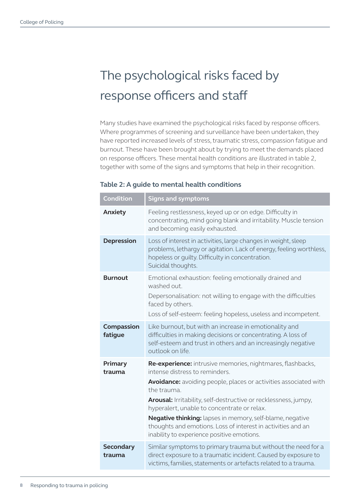## <span id="page-9-0"></span>The psychological risks faced by response officers and staff

Many studies have examined the psychological risks faced by response officers. Where programmes of screening and surveillance have been undertaken, they have reported increased levels of stress, traumatic stress, compassion fatigue and burnout. These have been brought about by trying to meet the demands placed on response officers. These mental health conditions are illustrated in table 2, together with some of the signs and symptoms that help in their recognition.

| <b>Condition</b>           | <b>Signs and symptoms</b>                                                                                                                                                                                                                                                                                                                                                                                                                                                           |
|----------------------------|-------------------------------------------------------------------------------------------------------------------------------------------------------------------------------------------------------------------------------------------------------------------------------------------------------------------------------------------------------------------------------------------------------------------------------------------------------------------------------------|
| Anxiety                    | Feeling restlessness, keyed up or on edge. Difficulty in<br>concentrating, mind going blank and irritability. Muscle tension<br>and becoming easily exhausted.                                                                                                                                                                                                                                                                                                                      |
| <b>Depression</b>          | Loss of interest in activities, large changes in weight, sleep<br>problems, lethargy or agitation. Lack of energy, feeling worthless,<br>hopeless or guilty. Difficulty in concentration.<br>Suicidal thoughts.                                                                                                                                                                                                                                                                     |
| <b>Burnout</b>             | Emotional exhaustion: feeling emotionally drained and<br>washed out.<br>Depersonalisation: not willing to engage with the difficulties<br>faced by others.<br>Loss of self-esteem: feeling hopeless, useless and incompetent.                                                                                                                                                                                                                                                       |
| Compassion<br>fatigue      | Like burnout, but with an increase in emotionality and<br>difficulties in making decisions or concentrating. A loss of<br>self-esteem and trust in others and an increasingly negative<br>outlook on life.                                                                                                                                                                                                                                                                          |
| Primary<br>trauma          | Re-experience: intrusive memories, nightmares, flashbacks,<br>intense distress to reminders.<br><b>Avoidance:</b> avoiding people, places or activities associated with<br>the trauma.<br>Arousal: Irritability, self-destructive or recklessness, jumpy,<br>hyperalert, unable to concentrate or relax.<br>Negative thinking: lapses in memory, self-blame, negative<br>thoughts and emotions. Loss of interest in activities and an<br>inability to experience positive emotions. |
| <b>Secondary</b><br>trauma | Similar symptoms to primary trauma but without the need for a<br>direct exposure to a traumatic incident. Caused by exposure to<br>victims, families, statements or artefacts related to a trauma.                                                                                                                                                                                                                                                                                  |

#### **Table 2: A guide to mental health conditions**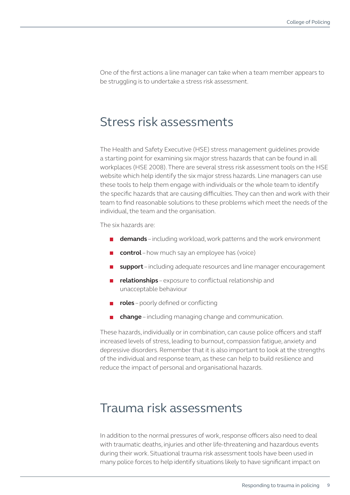One of the first actions a line manager can take when a team member appears to be struggling is to undertake a stress risk assessment.

#### <span id="page-10-0"></span>Stress risk assessments

The Health and Safety Executive (HSE) stress management guidelines provide a starting point for examining six major stress hazards that can be found in all workplaces (HSE 2008). There are several stress risk assessment tools on the HSE website which help identify the six major stress hazards. Line managers can use these tools to help them engage with individuals or the whole team to identify the specific hazards that are causing difficulties. They can then and work with their team to find reasonable solutions to these problems which meet the needs of the individual, the team and the organisation.

The six hazards are:

- **demands** including workload, work patterns and the work environment  $\mathcal{L}_{\mathrm{max}}$
- **control** how much say an employee has (voice)
- **support** including adequate resources and line manager encouragement
- **relationships** exposure to conflictual relationship and unacceptable behaviour
- **roles** poorly defined or conflicting
- **change** including managing change and communication.

These hazards, individually or in combination, can cause police officers and staff increased levels of stress, leading to burnout, compassion fatigue, anxiety and depressive disorders. Remember that it is also important to look at the strengths of the individual and response team, as these can help to build resilience and reduce the impact of personal and organisational hazards.

#### <span id="page-10-1"></span>Trauma risk assessments

In addition to the normal pressures of work, response officers also need to deal with traumatic deaths, injuries and other life-threatening and hazardous events during their work. Situational trauma risk assessment tools have been used in many police forces to help identify situations likely to have significant impact on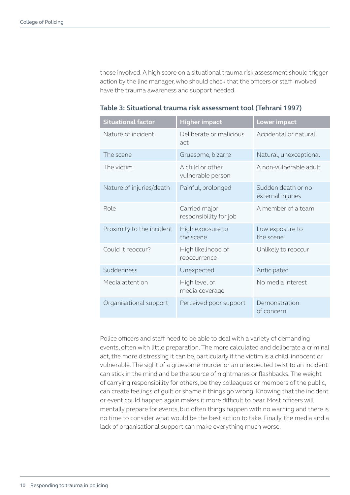those involved. A high score on a situational trauma risk assessment should trigger action by the line manager, who should check that the officers or staff involved have the trauma awareness and support needed.

| <b>Situational factor</b> | <b>Higher impact</b>                    | <b>Lower impact</b>                     |
|---------------------------|-----------------------------------------|-----------------------------------------|
| Nature of incident        | Deliberate or malicious<br>act          | Accidental or natural                   |
| The scene                 | Gruesome, bizarre                       | Natural, unexceptional                  |
| The victim                | A child or other<br>vulnerable person   | A non-vulnerable adult                  |
| Nature of injuries/death  | Painful, prolonged                      | Sudden death or no<br>external injuries |
| Role                      | Carried major<br>responsibility for job | A member of a team                      |
| Proximity to the incident | High exposure to<br>the scene           | Low exposure to<br>the scene            |
| Could it reoccur?         | High likelihood of<br>reoccurrence      | Unlikely to reoccur                     |
| Suddenness                | Unexpected                              | Anticipated                             |
| Media attention           | High level of<br>media coverage         | No media interest                       |
| Organisational support    | Perceived poor support                  | Demonstration<br>of concern             |

**Table 3: Situational trauma risk assessment tool (Tehrani 1997)**

Police officers and staff need to be able to deal with a variety of demanding events, often with little preparation. The more calculated and deliberate a criminal act, the more distressing it can be, particularly if the victim is a child, innocent or vulnerable. The sight of a gruesome murder or an unexpected twist to an incident can stick in the mind and be the source of nightmares or flashbacks. The weight of carrying responsibility for others, be they colleagues or members of the public, can create feelings of guilt or shame if things go wrong. Knowing that the incident or event could happen again makes it more difficult to bear. Most officers will mentally prepare for events, but often things happen with no warning and there is no time to consider what would be the best action to take. Finally, the media and a lack of organisational support can make everything much worse.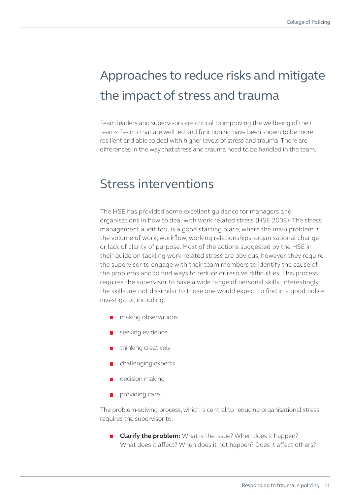## <span id="page-12-0"></span>Approaches to reduce risks and mitigate the impact of stress and trauma

Team leaders and supervisors are critical to improving the wellbeing of their teams. Teams that are well led and functioning have been shown to be more resilient and able to deal with higher levels of stress and trauma. There are differences in the way that stress and trauma need to be handled in the team.

#### <span id="page-12-1"></span>Stress interventions

The HSE has provided some excellent guidance for managers and organisations in how to deal with work-related stress (HSE 2008). The stress management audit tool is a good starting place, where the main problem is the volume of work, workflow, working relationships, organisational change or lack of clarity of purpose. Most of the actions suggested by the HSE in their guide on tackling work-related stress are obvious, however, they require the supervisor to engage with their team members to identify the cause of the problems and to find ways to reduce or resolve difficulties. This process requires the supervisor to have a wide range of personal skills. Interestingly, the skills are not dissimilar to those one would expect to find in a good police investigator, including:

- making observations
- seeking evidence
- thinking creatively
- challenging experts
- decision making
- providing care.

The problem-solving process, which is central to reducing organisational stress requires the supervisor to:

**Clarify the problem:** What is the issue? When does it happen? What does it affect? When does it not happen? Does it affect others?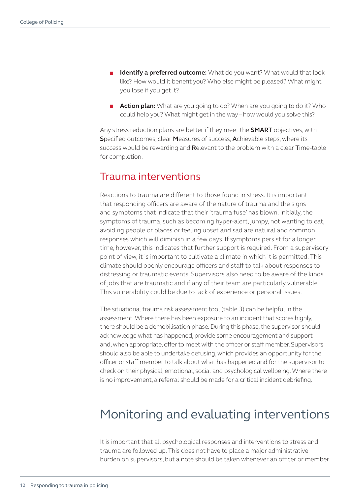- **Identify a preferred outcome:** What do you want? What would that look like? How would it benefit you? Who else might be pleased? What might you lose if you get it?
- **Action plan:** What are you going to do? When are you going to do it? Who could help you? What might get in the way – how would you solve this?

Any stress reduction plans are better if they meet the **SMART** objectives, with **S**pecified outcomes, clear **M**easures of success, **A**chievable steps, where its success would be rewarding and **R**elevant to the problem with a clear **T**ime-table for completion.

#### <span id="page-13-0"></span>Trauma interventions

Reactions to trauma are different to those found in stress. It is important that responding officers are aware of the nature of trauma and the signs and symptoms that indicate that their 'trauma fuse' has blown. Initially, the symptoms of trauma, such as becoming hyper-alert, jumpy, not wanting to eat, avoiding people or places or feeling upset and sad are natural and common responses which will diminish in a few days. If symptoms persist for a longer time, however, this indicates that further support is required. From a supervisory point of view, it is important to cultivate a climate in which it is permitted. This climate should openly encourage officers and staff to talk about responses to distressing or traumatic events. Supervisors also need to be aware of the kinds of jobs that are traumatic and if any of their team are particularly vulnerable. This vulnerability could be due to lack of experience or personal issues.

The situational trauma risk assessment tool (table 3) can be helpful in the assessment. Where there has been exposure to an incident that scores highly, there should be a demobilisation phase. During this phase, the supervisor should acknowledge what has happened, provide some encouragement and support and, when appropriate, offer to meet with the officer or staff member. Supervisors should also be able to undertake defusing, which provides an opportunity for the officer or staff member to talk about what has happened and for the supervisor to check on their physical, emotional, social and psychological wellbeing. Where there is no improvement, a referral should be made for a critical incident debriefing.

### <span id="page-13-1"></span>Monitoring and evaluating interventions

It is important that all psychological responses and interventions to stress and trauma are followed up. This does not have to place a major administrative burden on supervisors, but a note should be taken whenever an officer or member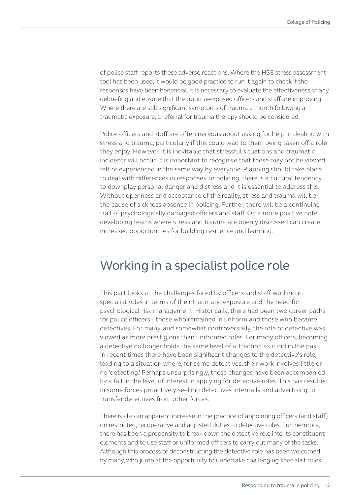of police staff reports these adverse reactions. Where the HSE stress assessment tool has been used, it would be good practice to run it again to check if the responses have been beneficial. It is necessary to evaluate the effectiveness of any debriefing and ensure that the trauma-exposed officers and staff are improving. Where there are still significant symptoms of trauma a month following a traumatic exposure, a referral for trauma therapy should be considered.

Police officers and staff are often nervous about asking for help in dealing with stress and trauma, particularly if this could lead to them being taken off a role they enjoy. However, it is inevitable that stressful situations and traumatic incidents will occur. It is important to recognise that these may not be viewed, felt or experienced in the same way by everyone. Planning should take place to deal with differences in responses. In policing, there is a cultural tendency to downplay personal danger and distress and it is essential to address this. Without openness and acceptance of the reality, stress and trauma will be the cause of sickness absence in policing. Further, there will be a continuing trail of psychologically damaged officers and staff. On a more positive note, developing teams where stress and trauma are openly discussed can create increased opportunities for building resilience and learning.

### <span id="page-14-0"></span>Working in a specialist police role

This part looks at the challenges faced by officers and staff working in specialist roles in terms of their traumatic exposure and the need for psychological risk management. Historically, there had been two career paths for police officers – those who remained in uniform and those who became detectives. For many, and somewhat controversially, the role of detective was viewed as more prestigious than uniformed roles. For many officers, becoming a detective no longer holds the same level of attraction as it did in the past. In recent times there have been significant changes to the detective's role, leading to a situation where, for some detectives, their work involves little or no 'detecting.' Perhaps unsurprisingly, these changes have been accompanied by a fall in the level of interest in applying for detective roles. This has resulted in some forces proactively seeking detectives internally and advertising to transfer detectives from other forces.

There is also an apparent increase in the practice of appointing officers (and staff) on restricted, recuperative and adjusted duties to detective roles. Furthermore, there has been a propensity to break down the detective role into its constituent elements and to use staff or uniformed officers to carry out many of the tasks. Although this process of deconstructing the detective role has been welcomed by many, who jump at the opportunity to undertake challenging specialist roles,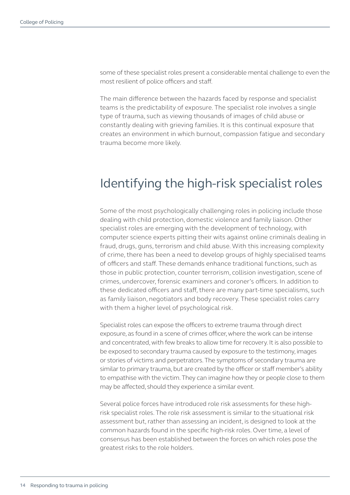some of these specialist roles present a considerable mental challenge to even the most resilient of police officers and staff.

The main difference between the hazards faced by response and specialist teams is the predictability of exposure. The specialist role involves a single type of trauma, such as viewing thousands of images of child abuse or constantly dealing with grieving families. It is this continual exposure that creates an environment in which burnout, compassion fatigue and secondary trauma become more likely.

### <span id="page-15-0"></span>Identifying the high-risk specialist roles

Some of the most psychologically challenging roles in policing include those dealing with child protection, domestic violence and family liaison. Other specialist roles are emerging with the development of technology, with computer science experts pitting their wits against online criminals dealing in fraud, drugs, guns, terrorism and child abuse. With this increasing complexity of crime, there has been a need to develop groups of highly specialised teams of officers and staff. These demands enhance traditional functions, such as those in public protection, counter terrorism, collision investigation, scene of crimes, undercover, forensic examiners and coroner's officers. In addition to these dedicated officers and staff, there are many part-time specialisms, such as family liaison, negotiators and body recovery. These specialist roles carry with them a higher level of psychological risk.

Specialist roles can expose the officers to extreme trauma through direct exposure, as found in a scene of crimes officer, where the work can be intense and concentrated, with few breaks to allow time for recovery. It is also possible to be exposed to secondary trauma caused by exposure to the testimony, images or stories of victims and perpetrators. The symptoms of secondary trauma are similar to primary trauma, but are created by the officer or staff member's ability to empathise with the victim. They can imagine how they or people close to them may be affected, should they experience a similar event.

Several police forces have introduced role risk assessments for these highrisk specialist roles. The role risk assessment is similar to the situational risk assessment but, rather than assessing an incident, is designed to look at the common hazards found in the specific high-risk roles. Over time, a level of consensus has been established between the forces on which roles pose the greatest risks to the role holders.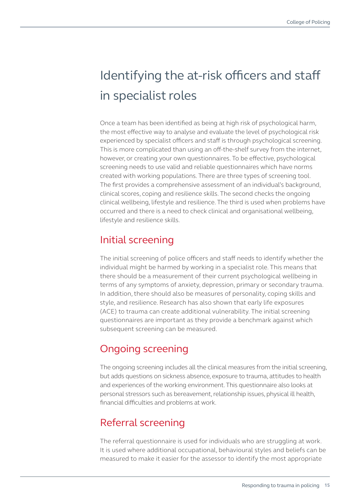## <span id="page-16-0"></span>Identifying the at-risk officers and staff in specialist roles

Once a team has been identified as being at high risk of psychological harm, the most effective way to analyse and evaluate the level of psychological risk experienced by specialist officers and staff is through psychological screening. This is more complicated than using an off-the-shelf survey from the internet, however, or creating your own questionnaires. To be effective, psychological screening needs to use valid and reliable questionnaires which have norms created with working populations. There are three types of screening tool. The first provides a comprehensive assessment of an individual's background, clinical scores, coping and resilience skills. The second checks the ongoing clinical wellbeing, lifestyle and resilience. The third is used when problems have occurred and there is a need to check clinical and organisational wellbeing, lifestyle and resilience skills.

#### <span id="page-16-1"></span>Initial screening

The initial screening of police officers and staff needs to identify whether the individual might be harmed by working in a specialist role. This means that there should be a measurement of their current psychological wellbeing in terms of any symptoms of anxiety, depression, primary or secondary trauma. In addition, there should also be measures of personality, coping skills and style, and resilience. Research has also shown that early life exposures (ACE) to trauma can create additional vulnerability. The initial screening questionnaires are important as they provide a benchmark against which subsequent screening can be measured.

#### <span id="page-16-2"></span>Ongoing screening

The ongoing screening includes all the clinical measures from the initial screening, but adds questions on sickness absence, exposure to trauma, attitudes to health and experiences of the working environment. This questionnaire also looks at personal stressors such as bereavement, relationship issues, physical ill health, financial difficulties and problems at work.

#### <span id="page-16-3"></span>Referral screening

The referral questionnaire is used for individuals who are struggling at work. It is used where additional occupational, behavioural styles and beliefs can be measured to make it easier for the assessor to identify the most appropriate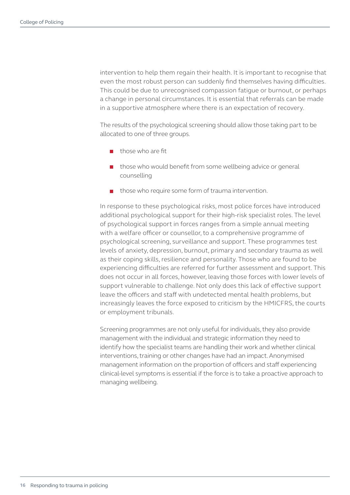intervention to help them regain their health. It is important to recognise that even the most robust person can suddenly find themselves having difficulties. This could be due to unrecognised compassion fatigue or burnout, or perhaps a change in personal circumstances. It is essential that referrals can be made in a supportive atmosphere where there is an expectation of recovery.

The results of the psychological screening should allow those taking part to be allocated to one of three groups.

- $\blacksquare$  those who are fit
- $\blacksquare$  those who would benefit from some wellbeing advice or general counselling
- $\blacksquare$  those who require some form of trauma intervention.

In response to these psychological risks, most police forces have introduced additional psychological support for their high-risk specialist roles. The level of psychological support in forces ranges from a simple annual meeting with a welfare officer or counsellor, to a comprehensive programme of psychological screening, surveillance and support. These programmes test levels of anxiety, depression, burnout, primary and secondary trauma as well as their coping skills, resilience and personality. Those who are found to be experiencing difficulties are referred for further assessment and support. This does not occur in all forces, however, leaving those forces with lower levels of support vulnerable to challenge. Not only does this lack of effective support leave the officers and staff with undetected mental health problems, but increasingly leaves the force exposed to criticism by the HMICFRS, the courts or employment tribunals.

Screening programmes are not only useful for individuals, they also provide management with the individual and strategic information they need to identify how the specialist teams are handling their work and whether clinical interventions, training or other changes have had an impact. Anonymised management information on the proportion of officers and staff experiencing clinical-level symptoms is essential if the force is to take a proactive approach to managing wellbeing.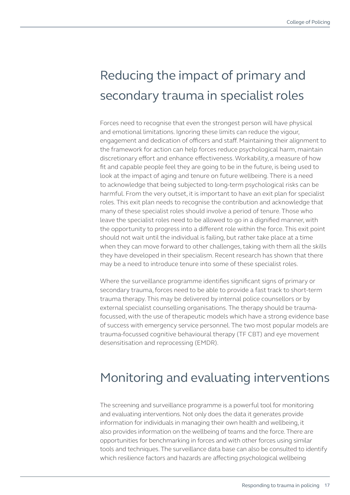## <span id="page-18-0"></span>Reducing the impact of primary and secondary trauma in specialist roles

Forces need to recognise that even the strongest person will have physical and emotional limitations. Ignoring these limits can reduce the vigour, engagement and dedication of officers and staff. Maintaining their alignment to the framework for action can help forces reduce psychological harm, maintain discretionary effort and enhance effectiveness. Workability, a measure of how fit and capable people feel they are going to be in the future, is being used to look at the impact of aging and tenure on future wellbeing. There is a need to acknowledge that being subjected to long-term psychological risks can be harmful. From the very outset, it is important to have an exit plan for specialist roles. This exit plan needs to recognise the contribution and acknowledge that many of these specialist roles should involve a period of tenure. Those who leave the specialist roles need to be allowed to go in a dignified manner, with the opportunity to progress into a different role within the force. This exit point should not wait until the individual is failing, but rather take place at a time when they can move forward to other challenges, taking with them all the skills they have developed in their specialism. Recent research has shown that there may be a need to introduce tenure into some of these specialist roles.

Where the surveillance programme identifies significant signs of primary or secondary trauma, forces need to be able to provide a fast track to short-term trauma therapy. This may be delivered by internal police counsellors or by external specialist counselling organisations. The therapy should be traumafocussed, with the use of therapeutic models which have a strong evidence base of success with emergency service personnel. The two most popular models are trauma-focussed cognitive behavioural therapy (TF CBT) and eye movement desensitisation and reprocessing (EMDR).

### <span id="page-18-1"></span>Monitoring and evaluating interventions

The screening and surveillance programme is a powerful tool for monitoring and evaluating interventions. Not only does the data it generates provide information for individuals in managing their own health and wellbeing, it also provides information on the wellbeing of teams and the force. There are opportunities for benchmarking in forces and with other forces using similar tools and techniques. The surveillance data base can also be consulted to identify which resilience factors and hazards are affecting psychological wellbeing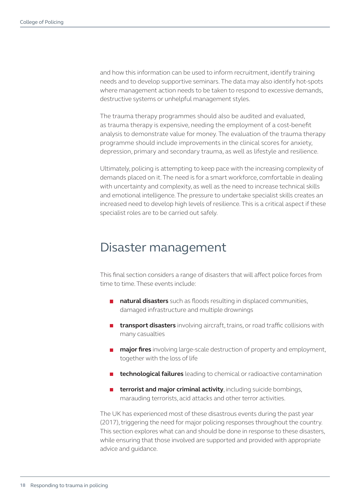and how this information can be used to inform recruitment, identify training needs and to develop supportive seminars. The data may also identify hot-spots where management action needs to be taken to respond to excessive demands, destructive systems or unhelpful management styles.

The trauma therapy programmes should also be audited and evaluated, as trauma therapy is expensive, needing the employment of a cost-benefit analysis to demonstrate value for money. The evaluation of the trauma therapy programme should include improvements in the clinical scores for anxiety, depression, primary and secondary trauma, as well as lifestyle and resilience.

Ultimately, policing is attempting to keep pace with the increasing complexity of demands placed on it. The need is for a smart workforce, comfortable in dealing with uncertainty and complexity, as well as the need to increase technical skills and emotional intelligence. The pressure to undertake specialist skills creates an increased need to develop high levels of resilience. This is a critical aspect if these specialist roles are to be carried out safely.

#### <span id="page-19-0"></span>Disaster management

This final section considers a range of disasters that will affect police forces from time to time. These events include:

- **natural disasters** such as floods resulting in displaced communities, damaged infrastructure and multiple drownings
- **transport disasters** involving aircraft, trains, or road traffic collisions with many casualties
- **number 15 and 10 major fires** involving large-scale destruction of property and employment, together with the loss of life
- **technological failures** leading to chemical or radioactive contamination
- **terrorist and major criminal activity**, including suicide bombings, marauding terrorists, acid attacks and other terror activities.

The UK has experienced most of these disastrous events during the past year (2017), triggering the need for major policing responses throughout the country. This section explores what can and should be done in response to these disasters, while ensuring that those involved are supported and provided with appropriate advice and guidance.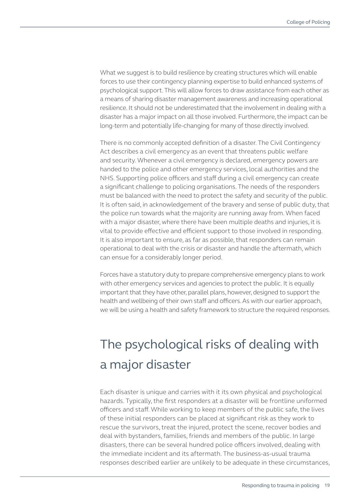What we suggest is to build resilience by creating structures which will enable forces to use their contingency planning expertise to build enhanced systems of psychological support. This will allow forces to draw assistance from each other as a means of sharing disaster management awareness and increasing operational resilience. It should not be underestimated that the involvement in dealing with a disaster has a major impact on all those involved. Furthermore, the impact can be long-term and potentially life-changing for many of those directly involved.

There is no commonly accepted definition of a disaster. The Civil Contingency Act describes a civil emergency as an event that threatens public welfare and security. Whenever a civil emergency is declared, emergency powers are handed to the police and other emergency services, local authorities and the NHS. Supporting police officers and staff during a civil emergency can create a significant challenge to policing organisations. The needs of the responders must be balanced with the need to protect the safety and security of the public. It is often said, in acknowledgement of the bravery and sense of public duty, that the police run towards what the majority are running away from. When faced with a major disaster, where there have been multiple deaths and injuries, it is vital to provide effective and efficient support to those involved in responding. It is also important to ensure, as far as possible, that responders can remain operational to deal with the crisis or disaster and handle the aftermath, which can ensue for a considerably longer period.

Forces have a statutory duty to prepare comprehensive emergency plans to work with other emergency services and agencies to protect the public. It is equally important that they have other, parallel plans, however, designed to support the health and wellbeing of their own staff and officers. As with our earlier approach, we will be using a health and safety framework to structure the required responses.

## <span id="page-20-0"></span>The psychological risks of dealing with a major disaster

Each disaster is unique and carries with it its own physical and psychological hazards. Typically, the first responders at a disaster will be frontline uniformed officers and staff. While working to keep members of the public safe, the lives of these initial responders can be placed at significant risk as they work to rescue the survivors, treat the injured, protect the scene, recover bodies and deal with bystanders, families, friends and members of the public. In large disasters, there can be several hundred police officers involved, dealing with the immediate incident and its aftermath. The business-as-usual trauma responses described earlier are unlikely to be adequate in these circumstances,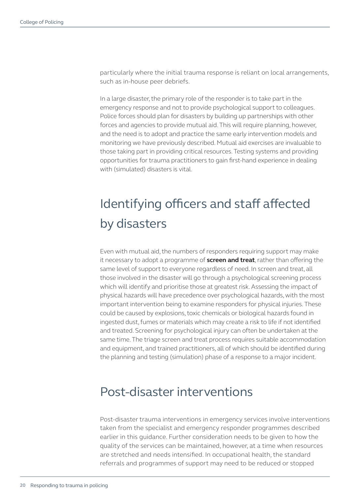particularly where the initial trauma response is reliant on local arrangements, such as in-house peer debriefs.

In a large disaster, the primary role of the responder is to take part in the emergency response and not to provide psychological support to colleagues. Police forces should plan for disasters by building up partnerships with other forces and agencies to provide mutual aid. This will require planning, however, and the need is to adopt and practice the same early intervention models and monitoring we have previously described. Mutual aid exercises are invaluable to those taking part in providing critical resources. Testing systems and providing opportunities for trauma practitioners to gain first-hand experience in dealing with (simulated) disasters is vital.

## <span id="page-21-0"></span>Identifying officers and staff affected by disasters

Even with mutual aid, the numbers of responders requiring support may make it necessary to adopt a programme of **screen and treat**, rather than offering the same level of support to everyone regardless of need. In screen and treat, all those involved in the disaster will go through a psychological screening process which will identify and prioritise those at greatest risk. Assessing the impact of physical hazards will have precedence over psychological hazards, with the most important intervention being to examine responders for physical injuries. These could be caused by explosions, toxic chemicals or biological hazards found in ingested dust, fumes or materials which may create a risk to life if not identified and treated. Screening for psychological injury can often be undertaken at the same time. The triage screen and treat process requires suitable accommodation and equipment, and trained practitioners, all of which should be identified during the planning and testing (simulation) phase of a response to a major incident.

### <span id="page-21-1"></span>Post-disaster interventions

Post-disaster trauma interventions in emergency services involve interventions taken from the specialist and emergency responder programmes described earlier in this guidance. Further consideration needs to be given to how the quality of the services can be maintained, however, at a time when resources are stretched and needs intensified. In occupational health, the standard referrals and programmes of support may need to be reduced or stopped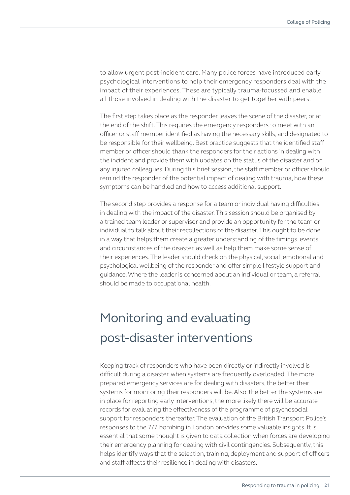to allow urgent post-incident care. Many police forces have introduced early psychological interventions to help their emergency responders deal with the impact of their experiences. These are typically trauma-focussed and enable all those involved in dealing with the disaster to get together with peers.

The first step takes place as the responder leaves the scene of the disaster, or at the end of the shift. This requires the emergency responders to meet with an officer or staff member identified as having the necessary skills, and designated to be responsible for their wellbeing. Best practice suggests that the identified staff member or officer should thank the responders for their actions in dealing with the incident and provide them with updates on the status of the disaster and on any injured colleagues. During this brief session, the staff member or officer should remind the responder of the potential impact of dealing with trauma, how these symptoms can be handled and how to access additional support.

The second step provides a response for a team or individual having difficulties in dealing with the impact of the disaster. This session should be organised by a trained team leader or supervisor and provide an opportunity for the team or individual to talk about their recollections of the disaster. This ought to be done in a way that helps them create a greater understanding of the timings, events and circumstances of the disaster, as well as help them make some sense of their experiences. The leader should check on the physical, social, emotional and psychological wellbeing of the responder and offer simple lifestyle support and guidance. Where the leader is concerned about an individual or team, a referral should be made to occupational health.

## <span id="page-22-0"></span>Monitoring and evaluating post-disaster interventions

Keeping track of responders who have been directly or indirectly involved is difficult during a disaster, when systems are frequently overloaded. The more prepared emergency services are for dealing with disasters, the better their systems for monitoring their responders will be. Also, the better the systems are in place for reporting early interventions, the more likely there will be accurate records for evaluating the effectiveness of the programme of psychosocial support for responders thereafter. The evaluation of the British Transport Police's responses to the 7/7 bombing in London provides some valuable insights. It is essential that some thought is given to data collection when forces are developing their emergency planning for dealing with civil contingencies. Subsequently, this helps identify ways that the selection, training, deployment and support of officers and staff affects their resilience in dealing with disasters.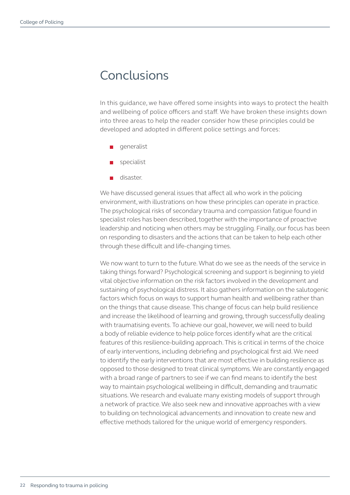### <span id="page-23-0"></span>Conclusions

In this guidance, we have offered some insights into ways to protect the health and wellbeing of police officers and staff. We have broken these insights down into three areas to help the reader consider how these principles could be developed and adopted in different police settings and forces:

- generalist
- specialist
- disaster.

We have discussed general issues that affect all who work in the policing environment, with illustrations on how these principles can operate in practice. The psychological risks of secondary trauma and compassion fatigue found in specialist roles has been described, together with the importance of proactive leadership and noticing when others may be struggling. Finally, our focus has been on responding to disasters and the actions that can be taken to help each other through these difficult and life-changing times.

We now want to turn to the future. What do we see as the needs of the service in taking things forward? Psychological screening and support is beginning to yield vital objective information on the risk factors involved in the development and sustaining of psychological distress. It also gathers information on the salutogenic factors which focus on ways to support human health and wellbeing rather than on the things that cause disease. This change of focus can help build resilience and increase the likelihood of learning and growing, through successfully dealing with traumatising events. To achieve our goal, however, we will need to build a body of reliable evidence to help police forces identify what are the critical features of this resilience-building approach. This is critical in terms of the choice of early interventions, including debriefing and psychological first aid. We need to identify the early interventions that are most effective in building resilience as opposed to those designed to treat clinical symptoms. We are constantly engaged with a broad range of partners to see if we can find means to identify the best way to maintain psychological wellbeing in difficult, demanding and traumatic situations. We research and evaluate many existing models of support through a network of practice. We also seek new and innovative approaches with a view to building on technological advancements and innovation to create new and effective methods tailored for the unique world of emergency responders.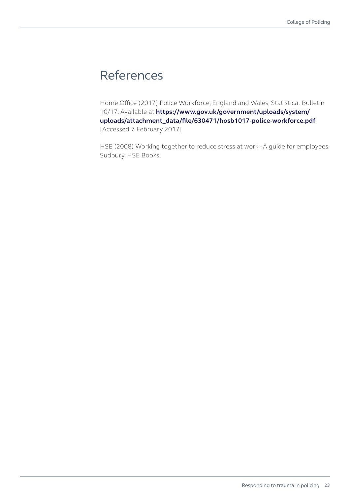### <span id="page-24-0"></span>References

Home Office (2017) Police Workforce, England and Wales, Statistical Bulletin 10/17. Available at **[https://www.gov.uk/government/uploads/system/](https://www.gov.uk/government/uploads/system/uploads/attachment_data/file/630471/hosb1017-police-workforce.pdf) [uploads/attachment\\_data/file/630471/hosb1017-police-workforce.pdf](https://www.gov.uk/government/uploads/system/uploads/attachment_data/file/630471/hosb1017-police-workforce.pdf)** [Accessed 7 February 2017]

HSE (2008) Working together to reduce stress at work - A guide for employees. Sudbury, HSE Books.